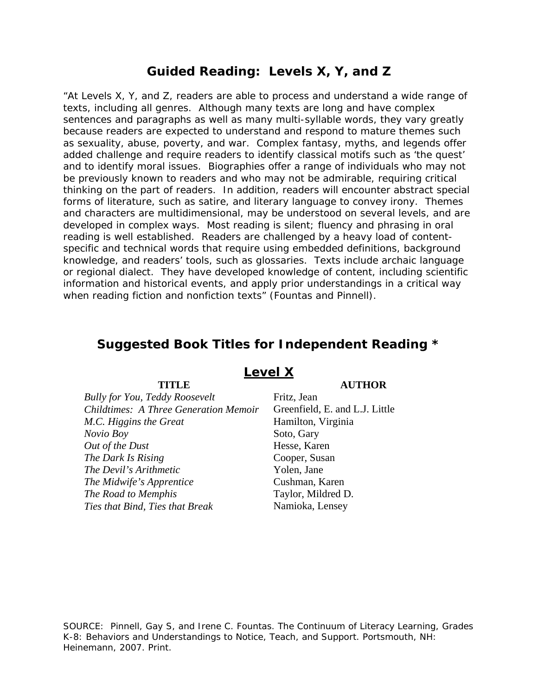# **Guided Reading: Levels X, Y, and Z**

"At Levels X, Y, and Z, readers are able to process and understand a wide range of texts, including all genres. Although many texts are long and have complex sentences and paragraphs as well as many multi-syllable words, they vary greatly because readers are expected to understand and respond to mature themes such as sexuality, abuse, poverty, and war. Complex fantasy, myths, and legends offer added challenge and require readers to identify classical motifs such as 'the quest' and to identify moral issues. Biographies offer a range of individuals who may not be previously known to readers and who may not be admirable, requiring critical thinking on the part of readers. In addition, readers will encounter abstract special forms of literature, such as satire, and literary language to convey irony. Themes and characters are multidimensional, may be understood on several levels, and are developed in complex ways. Most reading is silent; fluency and phrasing in oral reading is well established. Readers are challenged by a heavy load of contentspecific and technical words that require using embedded definitions, background knowledge, and readers' tools, such as glossaries. Texts include archaic language or regional dialect. They have developed knowledge of content, including scientific information and historical events, and apply prior understandings in a critical way when reading fiction and nonfiction texts" (Fountas and Pinnell).

# **Suggested Book Titles for Independent Reading \***

| <b>Bully for You, Teddy Roosevelt</b>        |
|----------------------------------------------|
| <b>Childtimes: A Three Generation Memoir</b> |
| M.C. Higgins the Great                       |
| Novio Boy                                    |
| Out of the Dust                              |
| The Dark Is Rising                           |
| The Devil's Arithmetic                       |
| The Midwife's Apprentice                     |
| The Road to Memphis                          |
| Ties that Bind, Ties that Break              |
|                                              |

### **Level X**

#### **TITLE AUTHOR**

*Bully for You, Teddy Roosevelt* Fritz, Jean *Childtimes: A Three Generation Memoir* Greenfield, E. and L.J. Little *M.C. Higgins the Great* Hamilton, Virginia Soto, Gary **Hesse**, Karen *The Dark Is Rising* Cooper, Susan Yolen, Jane *The Midwife's Apprentice* Cushman, Karen Taylor, Mildred D. *Ties that Bind, Ties that Break* Namioka, Lensey